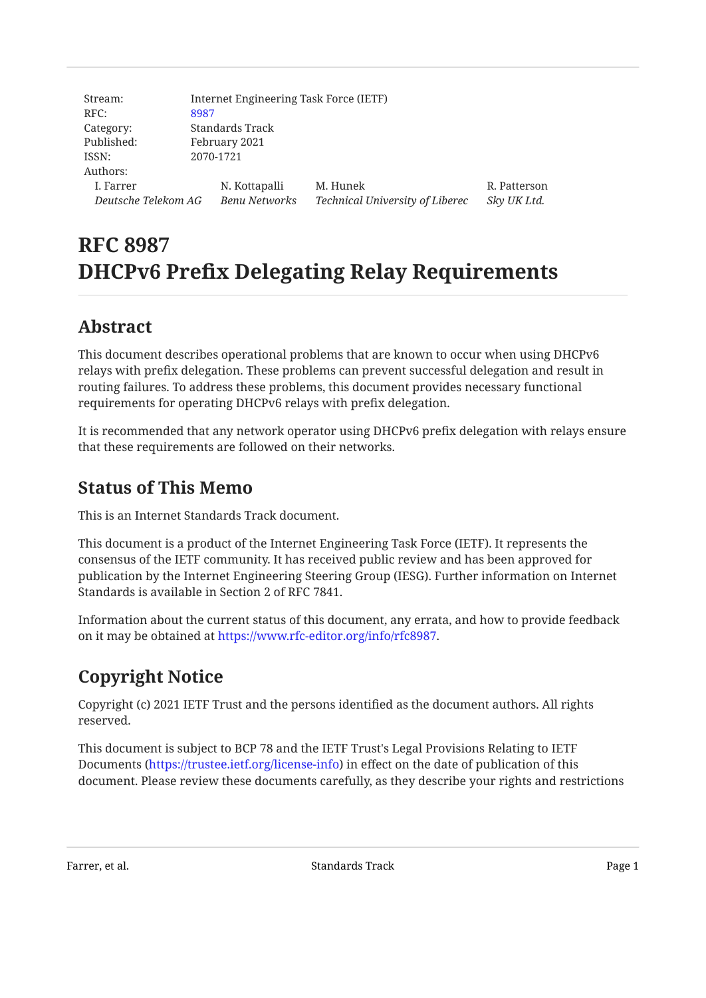| Stream:             | Internet Engineering Task Force (IETF) |                      |                                 |              |
|---------------------|----------------------------------------|----------------------|---------------------------------|--------------|
| RFC:                | 8987                                   |                      |                                 |              |
| Category:           | Standards Track                        |                      |                                 |              |
| Published:          | February 2021                          |                      |                                 |              |
| ISSN:               | 2070-1721                              |                      |                                 |              |
| Authors:            |                                        |                      |                                 |              |
| I. Farrer           |                                        | N. Kottapalli        | M. Hunek                        | R. Patterson |
| Deutsche Telekom AG |                                        | <b>Benu Networks</b> | Technical University of Liberec | Sky UK Ltd.  |

# **RFC 8987 DHCPv6 Prefix Delegating Relay Requirements**

# <span id="page-0-0"></span>**[Abstract](#page-0-0)**

This document describes operational problems that are known to occur when using DHCPv6 relays with prefix delegation. These problems can prevent successful delegation and result in routing failures. To address these problems, this document provides necessary functional requirements for operating DHCPv6 relays with prefix delegation.

<span id="page-0-1"></span>It is recommended that any network operator using DHCPv6 prefix delegation with relays ensure that these requirements are followed on their networks.

## **[Status of This Memo](#page-0-1)**

This is an Internet Standards Track document.

This document is a product of the Internet Engineering Task Force (IETF). It represents the consensus of the IETF community. It has received public review and has been approved for publication by the Internet Engineering Steering Group (IESG). Further information on Internet Standards is available in Section 2 of RFC 7841.

Information about the current status of this document, any errata, and how to provide feedback on it may be obtained at <https://www.rfc-editor.org/info/rfc8987>.

# <span id="page-0-2"></span>**[Copyright Notice](#page-0-2)**

Copyright (c) 2021 IETF Trust and the persons identified as the document authors. All rights reserved.

This document is subject to BCP 78 and the IETF Trust's Legal Provisions Relating to IETF Documents (<https://trustee.ietf.org/license-info>) in effect on the date of publication of this document. Please review these documents carefully, as they describe your rights and restrictions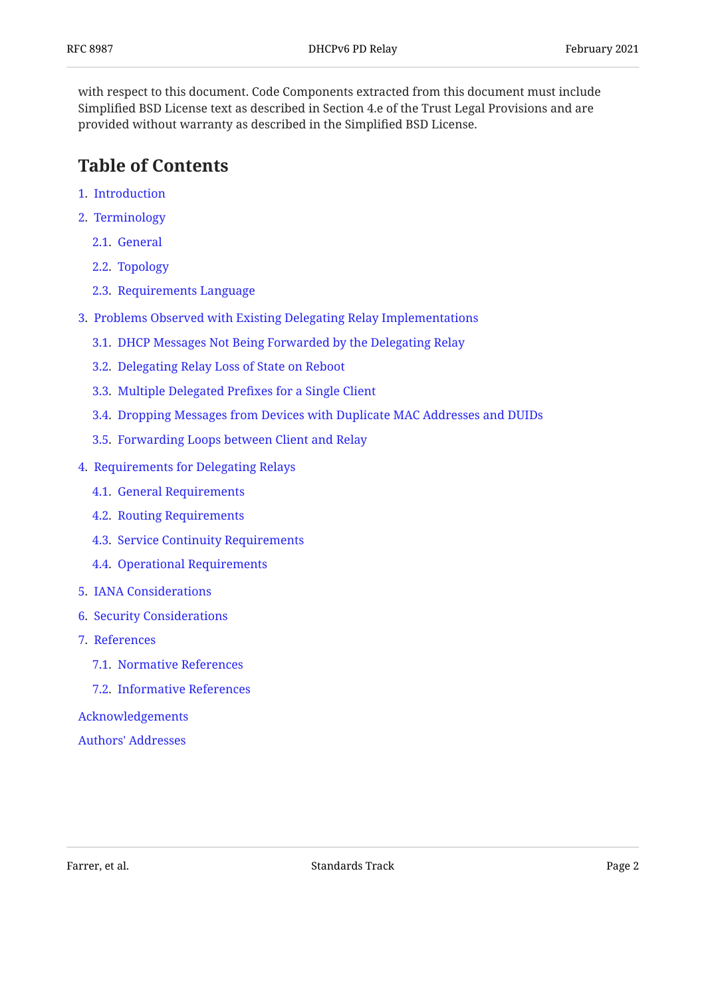with respect to this document. Code Components extracted from this document must include Simplified BSD License text as described in Section 4.e of the Trust Legal Provisions and are provided without warranty as described in the Simplified BSD License.

## <span id="page-1-0"></span>**[Table of Contents](#page-1-0)**

- [1.](#page-2-0) [Introduction](#page-2-0)
- [2.](#page-2-1) [Terminology](#page-2-1)
	- [2.1.](#page-2-2) [General](#page-2-2)
	- [2.2.](#page-3-0) [Topology](#page-3-0)
	- [2.3.](#page-4-0) [Requirements Language](#page-4-0)
- [3.](#page-4-1) [Problems Observed with Existing Delegating Relay Implementations](#page-4-1)
	- [3.1.](#page-4-2) [DHCP Messages Not Being Forwarded by the Delegating Relay](#page-4-2)
	- [3.2.](#page-4-3) [Delegating Relay Loss of State on Reboot](#page-4-3)
	- [3.3.](#page-5-0) [Multiple Delegated Pre](#page-5-0)fixes for a Single Client
	- [3.4.](#page-5-1) [Dropping Messages from Devices with Duplicate MAC Addresses and DUIDs](#page-5-1)
	- [3.5.](#page-5-2) [Forwarding Loops between Client and Relay](#page-5-2)
- [4.](#page-5-3) [Requirements for Delegating Relays](#page-5-3)
	- [4.1.](#page-6-0) [General Requirements](#page-6-0)
	- [4.2.](#page-6-1) [Routing Requirements](#page-6-1)
	- [4.3.](#page-7-0) [Service Continuity Requirements](#page-7-0)
	- [4.4.](#page-7-1) [Operational Requirements](#page-7-1)
- [5.](#page-8-0) [IANA Considerations](#page-8-0)
- [6.](#page-8-1) [Security Considerations](#page-8-1)
- [7.](#page-8-2) [References](#page-8-2)
	- [7.1.](#page-8-3) [Normative References](#page-8-3)
	- [7.2.](#page-9-0) [Informative References](#page-9-0)

[Acknowledgements](#page-9-1)

[Authors' Addresses](#page-10-0)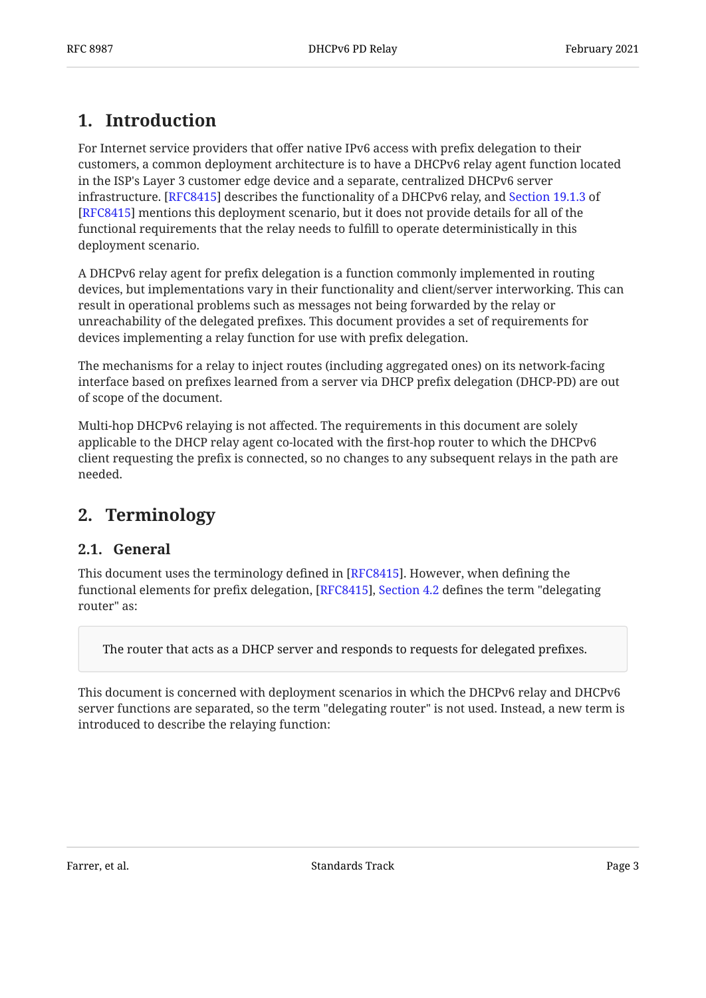# <span id="page-2-0"></span>**[1. Introduction](#page-2-0)**

For Internet service providers that offer native IPv6 access with prefix delegation to their customers, a common deployment architecture is to have a DHCPv6 relay agent function located in the ISP's Layer 3 customer edge device and a separate, centralized DHCPv6 server infrastructure. [RFC8415] describes the functionality of a DHCPv6 relay, and [Section 19.1.3](https://www.rfc-editor.org/rfc/rfc8415#section-19.1.3) of [[RFC8415\]](#page-9-2) mentions this deployment scenario, but it does not provide details for all of the functional requirements that the relay needs to fulfill to operate deterministically in this deployment scenario.

A DHCPv6 relay agent for prefix delegation is a function commonly implemented in routing devices, but implementations vary in their functionality and client/server interworking. This can result in operational problems such as messages not being forwarded by the relay or unreachability of the delegated prefixes. This document provides a set of requirements for devices implementing a relay function for use with prefix delegation.

The mechanisms for a relay to inject routes (including aggregated ones) on its network-facing interface based on prefixes learned from a server via DHCP prefix delegation (DHCP-PD) are out of scope of the document.

Multi-hop DHCPv6 relaying is not affected. The requirements in this document are solely applicable to the DHCP relay agent co-located with the first-hop router to which the DHCPv6 client requesting the prefix is connected, so no changes to any subsequent relays in the path are needed.

## <span id="page-2-2"></span><span id="page-2-1"></span>**[2. Terminology](#page-2-1)**

### **[2.1. General](#page-2-2)**

This document uses the terminology defined in [RFC8415]. However, when defining the functional elements for prefix delegation, [RFC8415], Section 4.2 defines the term "delegating router" as:

The router that acts as a DHCP server and responds to requests for delegated prefixes.

This document is concerned with deployment scenarios in which the DHCPv6 relay and DHCPv6 server functions are separated, so the term "delegating router" is not used. Instead, a new term is introduced to describe the relaying function: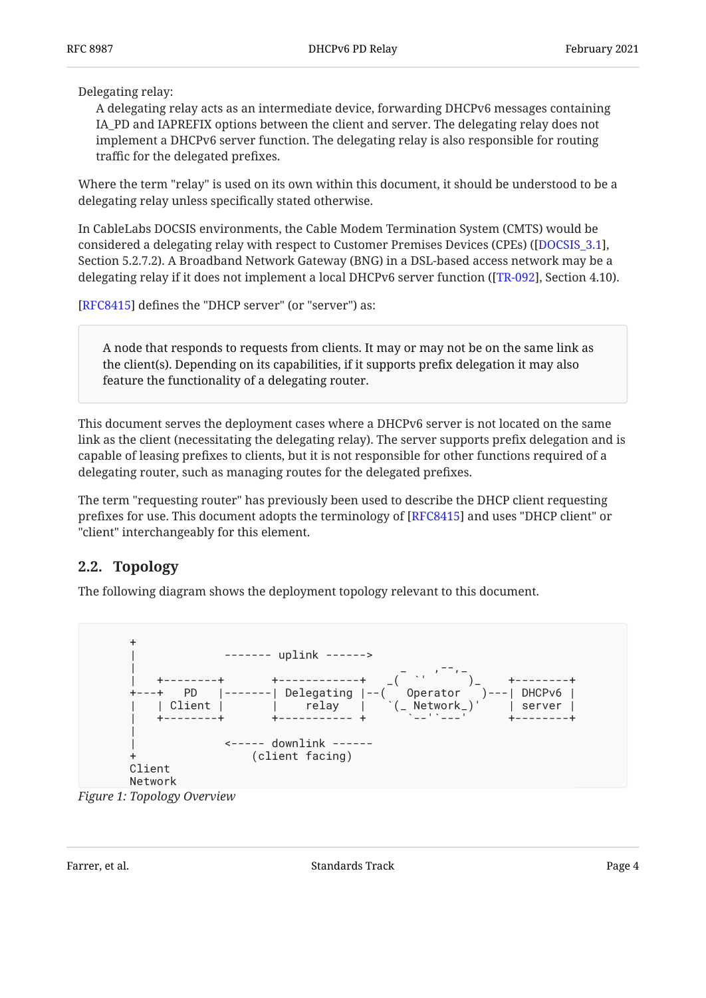Delegating relay:

A delegating relay acts as an intermediate device, forwarding DHCPv6 messages containing IA\_PD and IAPREFIX options between the client and server. The delegating relay does not implement a DHCPv6 server function. The delegating relay is also responsible for routing traffic for the delegated prefixes.

Where the term "relay" is used on its own within this document, it should be understood to be a delegating relay unless specifically stated otherwise.

In CableLabs DOCSIS environments, the Cable Modem Termination System (CMTS) would be considered a delegating relay with respect to Customer Premises Devices (CPEs) ([\[DOCSIS\\_3.1\]](#page-9-3),  $\,$ Section 5.2.7.2). A Broadband Network Gateway (BNG) in a DSL-based access network may be a delegating relay if it does not implement a local DHCPv6 server function ([TR-092], Section 4.10).

[[RFC8415\]](#page-9-2) defines the "DHCP server" (or "server") as:

A node that responds to requests from clients. It may or may not be on the same link as the client(s). Depending on its capabilities, if it supports prefix delegation it may also feature the functionality of a delegating router.

This document serves the deployment cases where a DHCPv6 server is not located on the same link as the client (necessitating the delegating relay). The server supports prefix delegation and is capable of leasing prefixes to clients, but it is not responsible for other functions required of a delegating router, such as managing routes for the delegated prefixes.

The term "requesting router" has previously been used to describe the DHCP client requesting prefixes for use. This document adopts the terminology of [RFC8415] and uses "DHCP client" or "client" interchangeably for this element.

### <span id="page-3-0"></span>**[2.2. Topology](#page-3-0)**

The following diagram shows the deployment topology relevant to this document.

<span id="page-3-1"></span>

*[Figure 1: Topology Overview](#page-3-1)*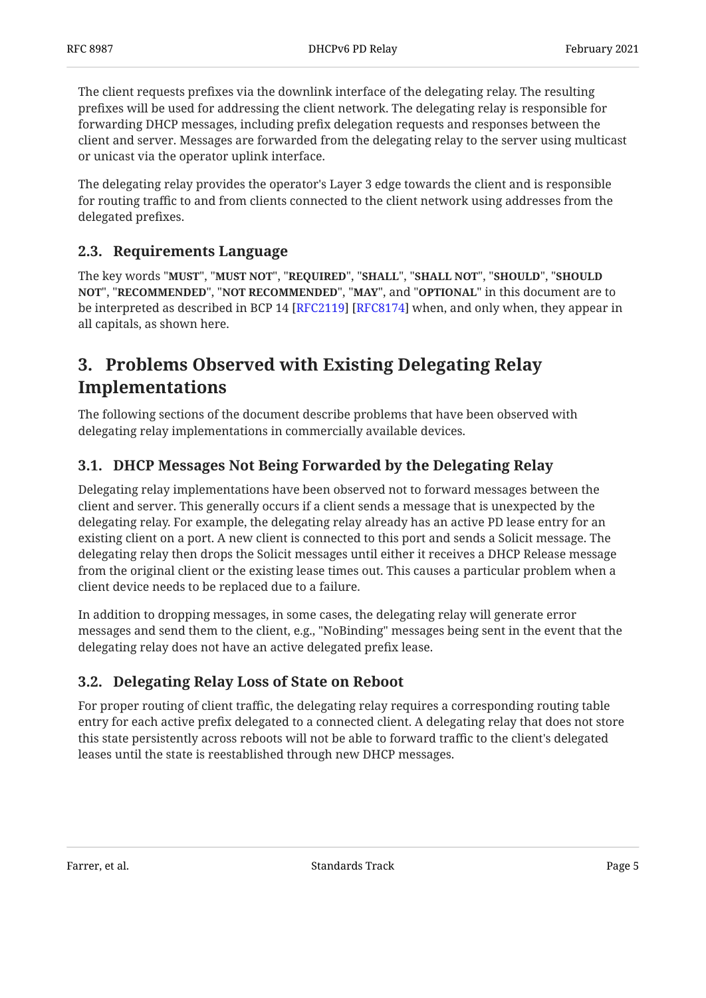The client requests prefixes via the downlink interface of the delegating relay. The resulting prefixes will be used for addressing the client network. The delegating relay is responsible for forwarding DHCP messages, including prefix delegation requests and responses between the client and server. Messages are forwarded from the delegating relay to the server using multicast or unicast via the operator uplink interface.

The delegating relay provides the operator's Layer 3 edge towards the client and is responsible for routing traffic to and from clients connected to the client network using addresses from the delegated prefixes.

### <span id="page-4-0"></span>**[2.3. Requirements Language](#page-4-0)**

The key words "MUST", "MUST NOT", "REQUIRED", "SHALL", "SHALL NOT", "SHOULD", "SHOULD <code>NOT",</code> "<code>RECOMMENDED", "NOT RECOMMENDED", "MAY", and "OPTIONAL" in this document are to</code> be interpreted as described in BCP 14 [RFC2119] [RFC8174] when, and only when, they appear in all capitals, as shown here.

# <span id="page-4-1"></span>**[3. Problems Observed with Existing Delegating Relay](#page-4-1) [Implementations](#page-4-1)**

The following sections of the document describe problems that have been observed with delegating relay implementations in commercially available devices.

### <span id="page-4-2"></span>**[3.1. DHCP Messages Not Being Forwarded by the Delegating Relay](#page-4-2)**

Delegating relay implementations have been observed not to forward messages between the client and server. This generally occurs if a client sends a message that is unexpected by the delegating relay. For example, the delegating relay already has an active PD lease entry for an existing client on a port. A new client is connected to this port and sends a Solicit message. The delegating relay then drops the Solicit messages until either it receives a DHCP Release message from the original client or the existing lease times out. This causes a particular problem when a client device needs to be replaced due to a failure.

In addition to dropping messages, in some cases, the delegating relay will generate error messages and send them to the client, e.g., "NoBinding" messages being sent in the event that the delegating relay does not have an active delegated prefix lease.

### <span id="page-4-3"></span>**[3.2. Delegating Relay Loss of State on Reboot](#page-4-3)**

For proper routing of client traffic, the delegating relay requires a corresponding routing table entry for each active prefix delegated to a connected client. A delegating relay that does not store this state persistently across reboots will not be able to forward traffic to the client's delegated leases until the state is reestablished through new DHCP messages.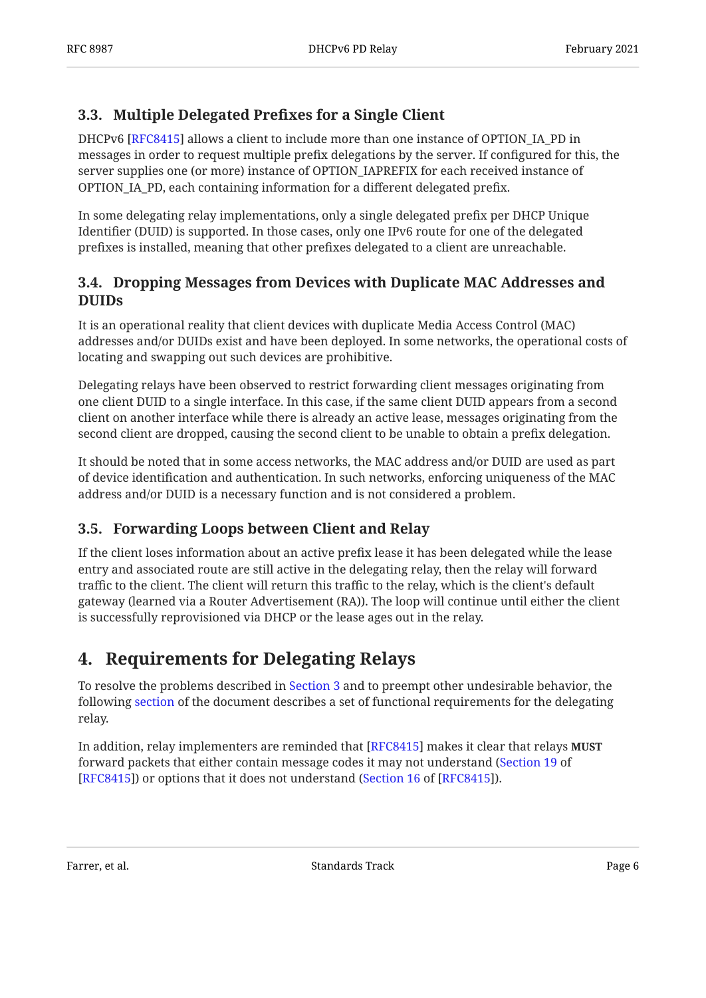### <span id="page-5-0"></span>**[3.3. Multiple Delegated Pre](#page-5-0)fixes for a Single Client**

DHCPv6 [[RFC8415\]](#page-9-2) allows a client to include more than one instance of OPTION\_IA\_PD in messages in order to request multiple prefix delegations by the server. If configured for this, the server supplies one (or more) instance of OPTION\_IAPREFIX for each received instance of OPTION\_IA\_PD, each containing information for a different delegated prefix.

In some delegating relay implementations, only a single delegated prefix per DHCP Unique Identifier (DUID) is supported. In those cases, only one IPv6 route for one of the delegated prefixes is installed, meaning that other prefixes delegated to a client are unreachable.

### <span id="page-5-1"></span>**[3.4. Dropping Messages from Devices with Duplicate MAC Addresses and](#page-5-1) [DUIDs](#page-5-1)**

It is an operational reality that client devices with duplicate Media Access Control (MAC) addresses and/or DUIDs exist and have been deployed. In some networks, the operational costs of locating and swapping out such devices are prohibitive.

Delegating relays have been observed to restrict forwarding client messages originating from one client DUID to a single interface. In this case, if the same client DUID appears from a second client on another interface while there is already an active lease, messages originating from the second client are dropped, causing the second client to be unable to obtain a prefix delegation.

It should be noted that in some access networks, the MAC address and/or DUID are used as part of device identification and authentication. In such networks, enforcing uniqueness of the MAC address and/or DUID is a necessary function and is not considered a problem.

### <span id="page-5-2"></span>**[3.5. Forwarding Loops between Client and Relay](#page-5-2)**

If the client loses information about an active prefix lease it has been delegated while the lease entry and associated route are still active in the delegating relay, then the relay will forward traffic to the client. The client will return this traffic to the relay, which is the client's default gateway (learned via a Router Advertisement (RA)). The loop will continue until either the client is successfully reprovisioned via DHCP or the lease ages out in the relay.

## <span id="page-5-3"></span>**[4. Requirements for Delegating Relays](#page-5-3)**

To resolve the problems described in [Section 3](#page-4-1) and to preempt other undesirable behavior, the following [section](#page-6-0) of the document describes a set of functional requirements for the delegating relay.

In addition, relay implementers are reminded that [[RFC8415\]](#page-9-2) makes it clear that relays **MUST** forward packets that either contain message codes it may not understand ( [Section 19](https://www.rfc-editor.org/rfc/rfc8415#section-19) of [[RFC8415\]](#page-9-2)) or options that it does not understand ([Section 16](https://www.rfc-editor.org/rfc/rfc8415#section-16) of [RFC8415]).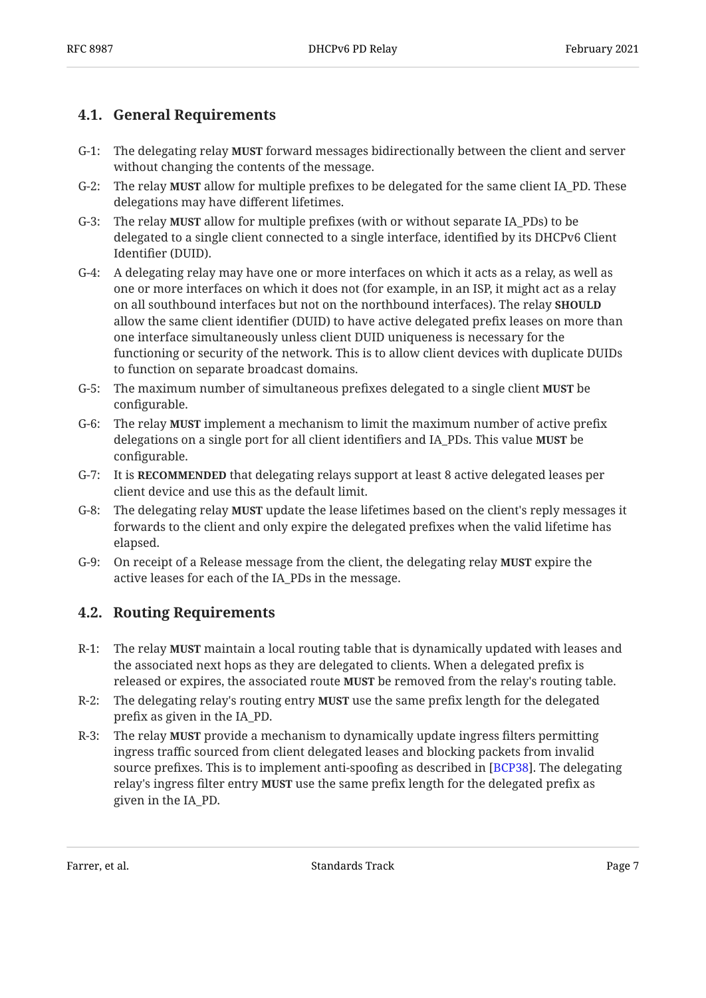### <span id="page-6-0"></span>**[4.1. General Requirements](#page-6-0)**

- G-1: The delegating relay **MUST** forward messages bidirectionally between the client and server without changing the contents of the message.
- G-2: The relay **MUST** allow for multiple prefixes to be delegated for the same client IA\_PD. These delegations may have different lifetimes.
- G-3: The relay **MUST** allow for multiple prefixes (with or without separate IA\_PDs) to be delegated to a single client connected to a single interface, identified by its DHCPv6 Client Identifier (DUID).
- G-4: A delegating relay may have one or more interfaces on which it acts as a relay, as well as one or more interfaces on which it does not (for example, in an ISP, it might act as a relay on all southbound interfaces but not on the northbound interfaces). The relay **SHOULD** allow the same client identifier (DUID) to have active delegated prefix leases on more than one interface simultaneously unless client DUID uniqueness is necessary for the functioning or security of the network. This is to allow client devices with duplicate DUIDs to function on separate broadcast domains.
- G-5: The maximum number of simultaneous prefixes delegated to a single client **MUST** be configurable.
- G-6: The relay **MUST** implement a mechanism to limit the maximum number of active prefix delegations on a single port for all client identifiers and IA\_PDs. This value **MUST** be configurable.
- G-7: It is **RECOMMENDED** that delegating relays support at least 8 active delegated leases per client device and use this as the default limit.
- G-8: The delegating relay **MUST** update the lease lifetimes based on the client's reply messages it forwards to the client and only expire the delegated prefixes when the valid lifetime has elapsed.
- G-9: On receipt of a Release message from the client, the delegating relay **MUST** expire the active leases for each of the IA\_PDs in the message.

### <span id="page-6-1"></span>**[4.2. Routing Requirements](#page-6-1)**

- R-1: The relay **MUST** maintain a local routing table that is dynamically updated with leases and the associated next hops as they are delegated to clients. When a delegated prefix is released or expires, the associated route MUST be removed from the relay's routing table.
- R-2: The delegating relay's routing entry **MUST** use the same prefix length for the delegated prefix as given in the IA\_PD.
- R-3: The relay **MUST** provide a mechanism to dynamically update ingress filters permitting ingress traffic sourced from client delegated leases and blocking packets from invalid source prefixes. This is to implement anti-spoofing as described in [BCP38]. The delegating relay's ingress filter entry **MUST** use the same prefix length for the delegated prefix as given in the IA\_PD.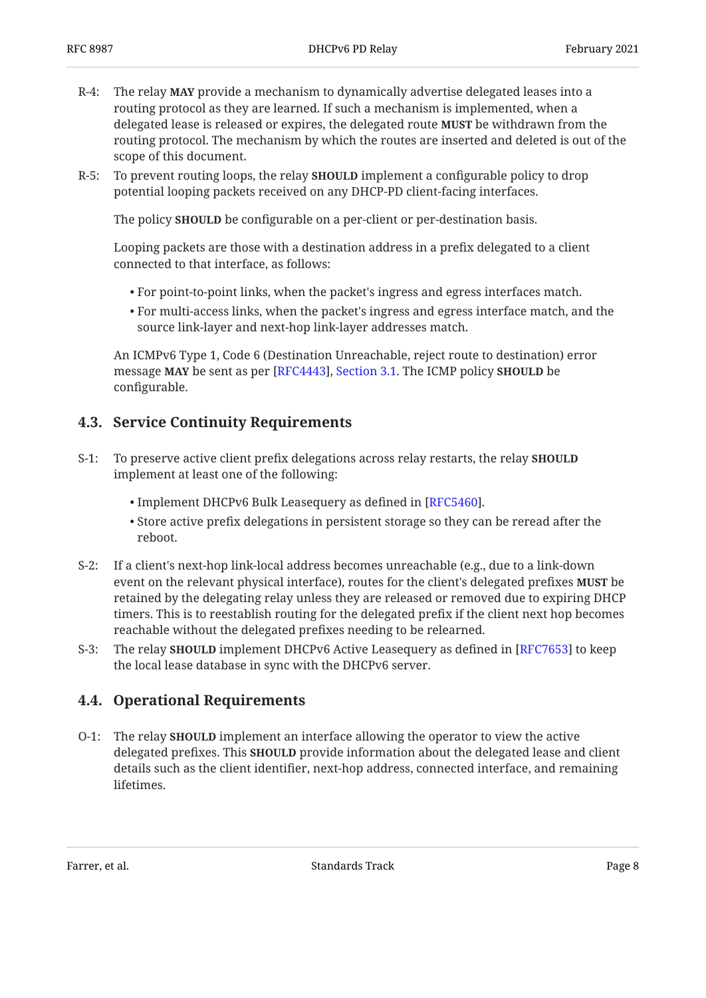- R-4: The relay **MAY** provide a mechanism to dynamically advertise delegated leases into a routing protocol as they are learned. If such a mechanism is implemented, when a delegated lease is released or expires, the delegated route **MUST** be withdrawn from the routing protocol. The mechanism by which the routes are inserted and deleted is out of the scope of this document.
- R-5: To prevent routing loops, the relay **SHOULD** implement a configurable policy to drop potential looping packets received on any DHCP-PD client-facing interfaces.

The policy **SHOULD** be configurable on a per-client or per-destination basis.

Looping packets are those with a destination address in a prefix delegated to a client connected to that interface, as follows:

- For point-to-point links, when the packet's ingress and egress interfaces match.
- $\bullet$  For multi-access links, when the packet's ingress and egress interface match, and the source link-layer and next-hop link-layer addresses match.

An ICMPv6 Type 1, Code 6 (Destination Unreachable, reject route to destination) error message MAY be sent as per [RFC4443], Section 3[.](https://www.rfc-editor.org/rfc/rfc4443#section-3.1)1. The ICMP policy **SHOULD** be configurable.

### <span id="page-7-0"></span>**[4.3. Service Continuity Requirements](#page-7-0)**

- S-1: To preserve active client prefix delegations across relay restarts, the relay **SHOULD** implement at least one of the following:
	- $\bullet$  Implement DHCPv6 Bulk Leasequery as defined in [RFC5460].
	- $\bullet$  Store active prefix delegations in persistent storage so they can be reread after the reboot.
- S-2: If a client's next-hop link-local address becomes unreachable (e.g., due to a link-down event on the relevant physical interface), routes for the client's delegated prefixes **MUST** be retained by the delegating relay unless they are released or removed due to expiring DHCP timers. This is to reestablish routing for the delegated prefix if the client next hop becomes reachable without the delegated prefixes needing to be relearned.
- S-3: The relay **SHOULD** implement DHCPv6 Active Leasequery as defined in [RFC7653] to keep the local lease database in sync with the DHCPv6 server.

### <span id="page-7-1"></span>**[4.4. Operational Requirements](#page-7-1)**

O-1: The relay **SHOULD** implement an interface allowing the operator to view the active delegated prefixes. This **SHOULD** provide information about the delegated lease and client details such as the client identifier, next-hop address, connected interface, and remaining lifetimes.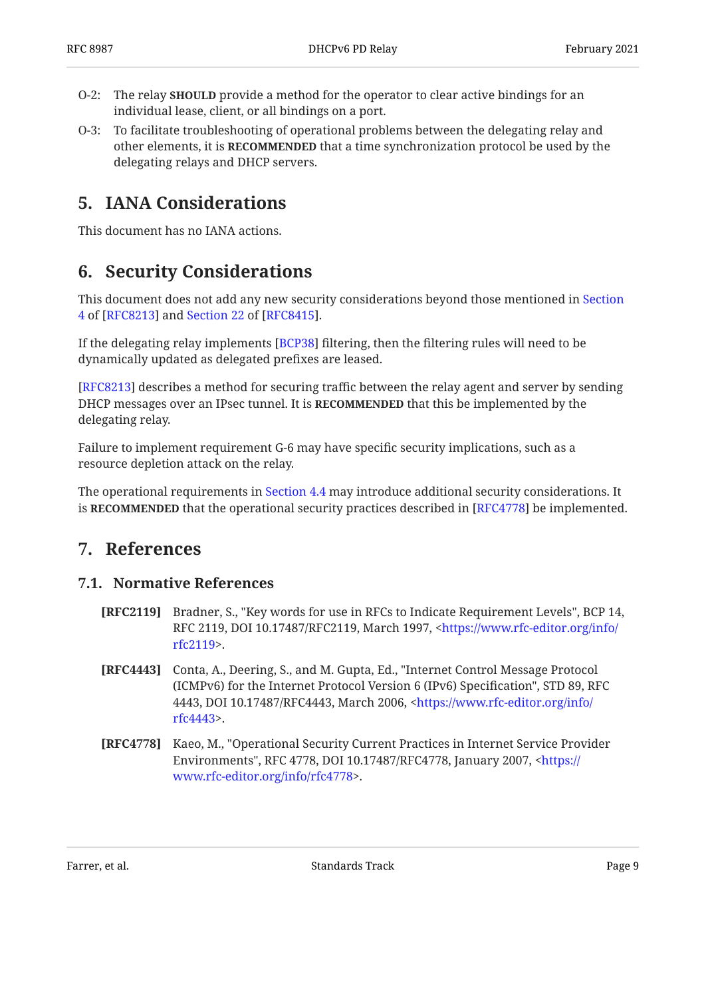- O-2: The relay **SHOULD** provide a method for the operator to clear active bindings for an individual lease, client, or all bindings on a port.
- O-3: To facilitate troubleshooting of operational problems between the delegating relay and other elements, it is **RECOMMENDED** that a time synchronization protocol be used by the delegating relays and DHCP servers.

## <span id="page-8-0"></span>**[5. IANA Considerations](#page-8-0)**

<span id="page-8-1"></span>This document has no IANA actions.

## **[6. Security Considerations](#page-8-1)**

This document does not add any new security considerations beyond those mentioned in [Section](https://www.rfc-editor.org/rfc/rfc8213#section-4) [4](https://www.rfc-editor.org/rfc/rfc8213#section-4) of [[RFC8213\]](#page-9-9) and Section 22 of [RFC8415].

If the delegating relay implements [\[BCP38](#page-9-6)] filtering, then the filtering rules will need to be dynamically updated as delegated prefixes are leased.

[[RFC8213\]](#page-9-9) describes a method for securing traffic between the relay agent and server by sending DHCP messages over an IPsec tunnel. It is **RECOMMENDED** that this be implemented by the delegating relay.

Failure to implement requirement G-6 may have specific security implications, such as a resource depletion attack on the relay.

<span id="page-8-2"></span>The operational requirements in [Section 4.4](#page-7-1) may introduce additional security considerations. It is RECOMMENDED that the operational security practices described in [RFC4778] be implemented.

### <span id="page-8-3"></span>**[7. References](#page-8-2)**

#### **[7.1. Normative References](#page-8-3)**

- <span id="page-8-4"></span>**[RFC2119]** Bradner, S., "Key words for use in RFCs to Indicate Requirement Levels", BCP 14, RFC 2119, DOI 10.17487/RFC2119, March 1997, <[https://www.rfc-editor.org/info/](https://www.rfc-editor.org/info/rfc2119) . [rfc2119>](https://www.rfc-editor.org/info/rfc2119)
- <span id="page-8-5"></span>**[RFC4443]** Conta, A., Deering, S., and M. Gupta, Ed., "Internet Control Message Protocol (ICMPv6) for the Internet Protocol Version 6 (IPv6) Specification", STD 89, RFC 4443, DOI 10.17487/RFC4443, March 2006, <[https://www.rfc-editor.org/info/](https://www.rfc-editor.org/info/rfc4443) . [rfc4443>](https://www.rfc-editor.org/info/rfc4443)
- <span id="page-8-6"></span>**[RFC4778]** Kaeo, M., "Operational Security Current Practices in Internet Service Provider Environments", RFC 4778, DOI 10.17487/RFC4778, January 2007, <[https://](https://www.rfc-editor.org/info/rfc4778) . [www.rfc-editor.org/info/rfc4778>](https://www.rfc-editor.org/info/rfc4778)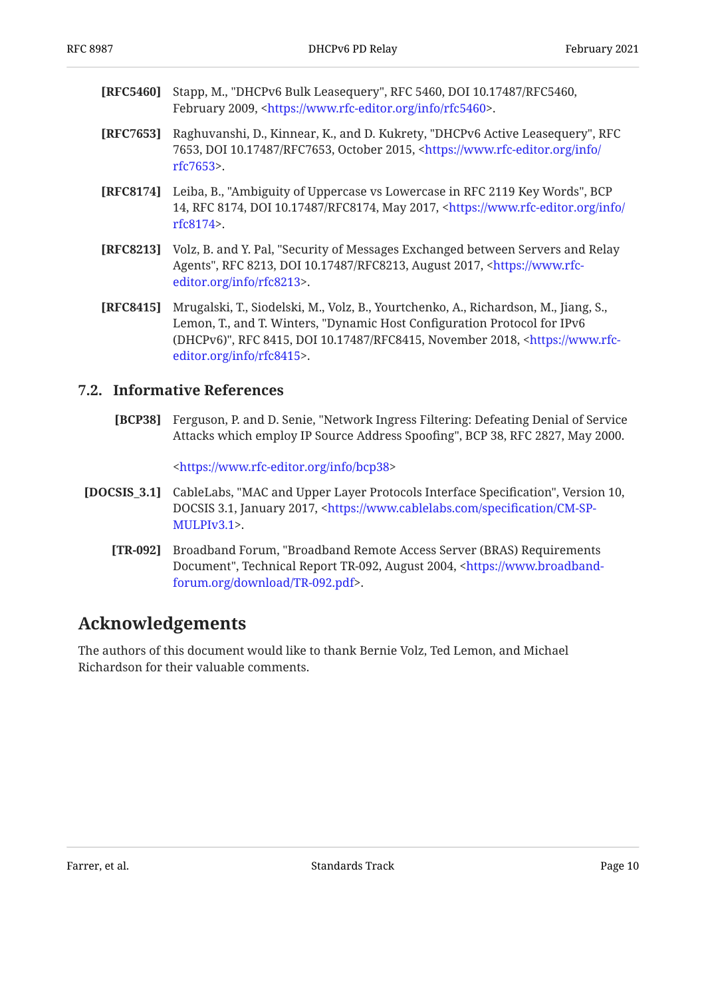- <span id="page-9-7"></span>**[RFC5460]** Stapp, M., "DHCPv6 Bulk Leasequery", RFC 5460, DOI 10.17487/RFC5460, February 2009, <https://www.rfc-editor.org/info/rfc5460>.
- <span id="page-9-8"></span>**[RFC7653]** Raghuvanshi, D., Kinnear, K., and D. Kukrety, "DHCPv6 Active Leasequery", RFC 7653, DOI 10.17487/RFC7653, October 2015, [<https://www.rfc-editor.org/info/](https://www.rfc-editor.org/info/rfc7653) . [rfc7653>](https://www.rfc-editor.org/info/rfc7653)
- <span id="page-9-5"></span>**[RFC8174]** Leiba, B., "Ambiguity of Uppercase vs Lowercase in RFC 2119 Key Words", BCP 14, RFC 8174, DOI 10.17487/RFC8174, May 2017, [<https://www.rfc-editor.org/info/](https://www.rfc-editor.org/info/rfc8174) . [rfc8174>](https://www.rfc-editor.org/info/rfc8174)
- <span id="page-9-9"></span>**[RFC8213]** , Volz, B. and Y. Pal "Security of Messages Exchanged between Servers and Relay Agents", RFC 8213, DOI 10.17487/RFC8213, August 2017, <[https://www.rfc-](https://www.rfc-editor.org/info/rfc8213). [editor.org/info/rfc8213>](https://www.rfc-editor.org/info/rfc8213)
- <span id="page-9-2"></span>**[RFC8415]** Mrugalski, T., Siodelski, M., Volz, B., Yourtchenko, A., Richardson, M., Jiang, S., Lemon, T., and T. Winters, "Dynamic Host Configuration Protocol for IPv6 (DHCPv6)", RFC 8415, DOI 10.17487/RFC8415, November 2018, <[https://www.rfc-](https://www.rfc-editor.org/info/rfc8415). [editor.org/info/rfc8415>](https://www.rfc-editor.org/info/rfc8415)

#### <span id="page-9-6"></span><span id="page-9-0"></span>**[7.2. Informative References](#page-9-0)**

**[BCP38]** Ferguson, P. and D. Senie, "Network Ingress Filtering: Defeating Denial of Service Attacks which employ IP Source Address Spoofing", BCP 38, RFC 2827, May 2000.

[<https://www.rfc-editor.org/info/bcp38](https://www.rfc-editor.org/info/bcp38)>

- <span id="page-9-4"></span><span id="page-9-3"></span>**[DOCSIS\_3.1]** CableLabs, "MAC and Upper Layer Protocols Interface Specification", Version 10, DOCSIS 3.1, January 2017, [<https://www.cablelabs.com/speci](https://www.cablelabs.com/specification/CM-SP-MULPIv3.1)fication/CM-SP-. [MULPIv3.1>](https://www.cablelabs.com/specification/CM-SP-MULPIv3.1)
	- **[TR-092]** Broadband Forum, "Broadband Remote Access Server (BRAS) Requirements Document", Technical Report TR-092, August 2004, [<https://www.broadband-](https://www.broadband-forum.org/download/TR-092.pdf). [forum.org/download/TR-092.pdf>](https://www.broadband-forum.org/download/TR-092.pdf)

## <span id="page-9-1"></span>**[Acknowledgements](#page-9-1)**

The authors of this document would like to thank Bernie Volz, Ted Lemon, and Michael Richardson for their valuable comments.